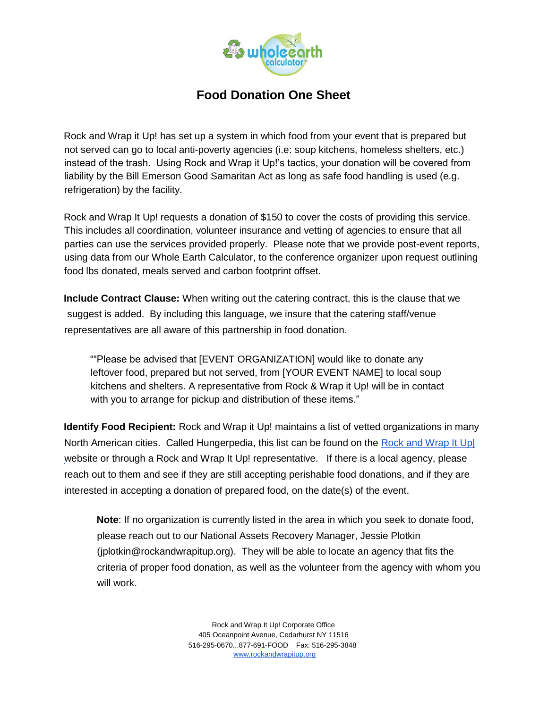

## **Food Donation One Sheet**

Rock and Wrap it Up! has set up a system in which food from your event that is prepared but not served can go to local anti-poverty agencies (i.e: soup kitchens, homeless shelters, etc.) instead of the trash. Using Rock and Wrap it Up!'s tactics, your donation will be covered from liability by the Bill Emerson Good Samaritan Act as long as safe food handling is used (e.g. refrigeration) by the facility.

Rock and Wrap It Up! requests a donation of \$150 to cover the costs of providing this service. This includes all coordination, volunteer insurance and vetting of agencies to ensure that all parties can use the services provided properly. Please note that we provide post-event reports, using data from our Whole Earth Calculator, to the conference organizer upon request outlining food lbs donated, meals served and carbon footprint offset.

**Include Contract Clause:** When writing out the catering contract, this is the clause that we suggest is added. By including this language, we insure that the catering staff/venue representatives are all aware of this partnership in food donation.

""Please be advised that [EVENT ORGANIZATION] would like to donate any leftover food, prepared but not served, from [YOUR EVENT NAME] to local soup kitchens and shelters. A representative from Rock & Wrap it Up! will be in contact with you to arrange for pickup and distribution of these items."

**Identify Food Recipient:** Rock and Wrap it Up! maintains a list of vetted organizations in many North American cities. Called Hungerpedia, this list can be found on the Rock and Wrap It Up website or through a Rock and Wrap It Up! representative. If there is a local agency, please reach out to them and see if they are still accepting perishable food donations, and if they are interested in accepting a donation of prepared food, on the date(s) of the event.

**Note**: If no organization is currently listed in the area in which you seek to donate food, please reach out to our National Assets Recovery Manager, Jessie Plotkin (jplotkin@rockandwrapitup.org). They will be able to locate an agency that fits the criteria of proper food donation, as well as the volunteer from the agency with whom you will work.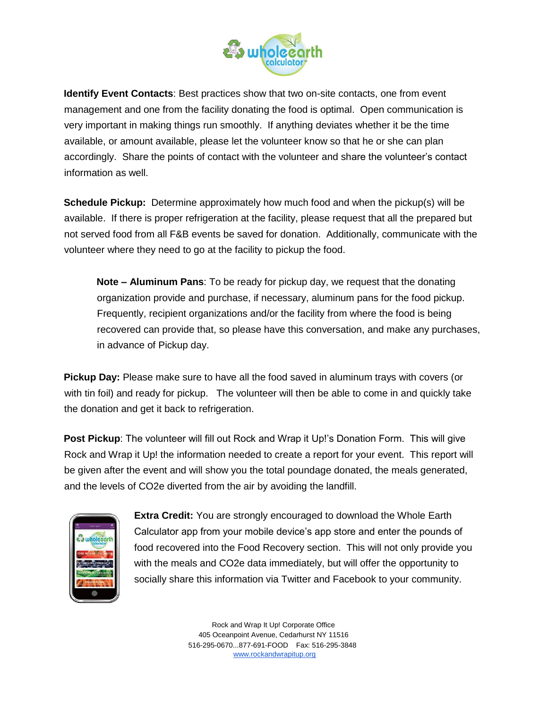

**Identify Event Contacts**: Best practices show that two on-site contacts, one from event management and one from the facility donating the food is optimal. Open communication is very important in making things run smoothly. If anything deviates whether it be the time available, or amount available, please let the volunteer know so that he or she can plan accordingly. Share the points of contact with the volunteer and share the volunteer's contact information as well.

**Schedule Pickup:** Determine approximately how much food and when the pickup(s) will be available. If there is proper refrigeration at the facility, please request that all the prepared but not served food from all F&B events be saved for donation. Additionally, communicate with the volunteer where they need to go at the facility to pickup the food.

**Note – Aluminum Pans**: To be ready for pickup day, we request that the donating organization provide and purchase, if necessary, aluminum pans for the food pickup. Frequently, recipient organizations and/or the facility from where the food is being recovered can provide that, so please have this conversation, and make any purchases, in advance of Pickup day.

**Pickup Day:** Please make sure to have all the food saved in aluminum trays with covers (or with tin foil) and ready for pickup. The volunteer will then be able to come in and quickly take the donation and get it back to refrigeration.

**Post Pickup:** The volunteer will fill out Rock and Wrap it Up!'s Donation Form. This will give Rock and Wrap it Up! the information needed to create a report for your event. This report will be given after the event and will show you the total poundage donated, the meals generated, and the levels of CO2e diverted from the air by avoiding the landfill.



**Extra Credit:** You are strongly encouraged to download the Whole Earth Calculator app from your mobile device's app store and enter the pounds of food recovered into the Food Recovery section. This will not only provide you with the meals and CO2e data immediately, but will offer the opportunity to socially share this information via Twitter and Facebook to your community.